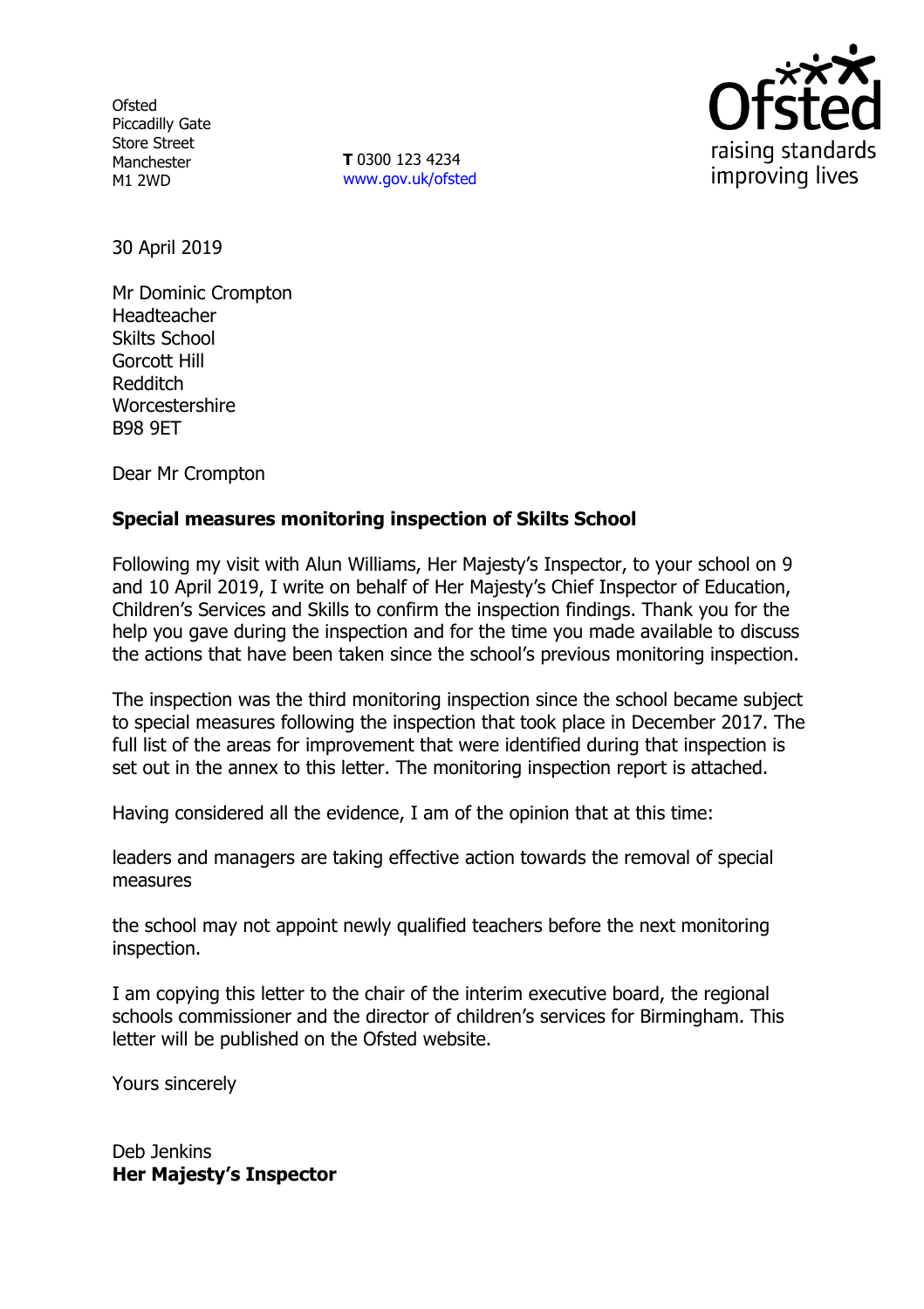**Ofsted** Piccadilly Gate Store Street Manchester M1 2WD

**T** 0300 123 4234 www.gov.uk/ofsted



30 April 2019

Mr Dominic Crompton Headteacher Skilts School Gorcott Hill Redditch Worcestershire B98 9ET

Dear Mr Crompton

# **Special measures monitoring inspection of Skilts School**

Following my visit with Alun Williams, Her Majesty's Inspector, to your school on 9 and 10 April 2019, I write on behalf of Her Majesty's Chief Inspector of Education, Children's Services and Skills to confirm the inspection findings. Thank you for the help you gave during the inspection and for the time you made available to discuss the actions that have been taken since the school's previous monitoring inspection.

The inspection was the third monitoring inspection since the school became subject to special measures following the inspection that took place in December 2017. The full list of the areas for improvement that were identified during that inspection is set out in the annex to this letter. The monitoring inspection report is attached.

Having considered all the evidence, I am of the opinion that at this time:

leaders and managers are taking effective action towards the removal of special measures

the school may not appoint newly qualified teachers before the next monitoring inspection.

I am copying this letter to the chair of the interim executive board, the regional schools commissioner and the director of children's services for Birmingham. This letter will be published on the Ofsted website.

Yours sincerely

Deb Jenkins **Her Majesty's Inspector**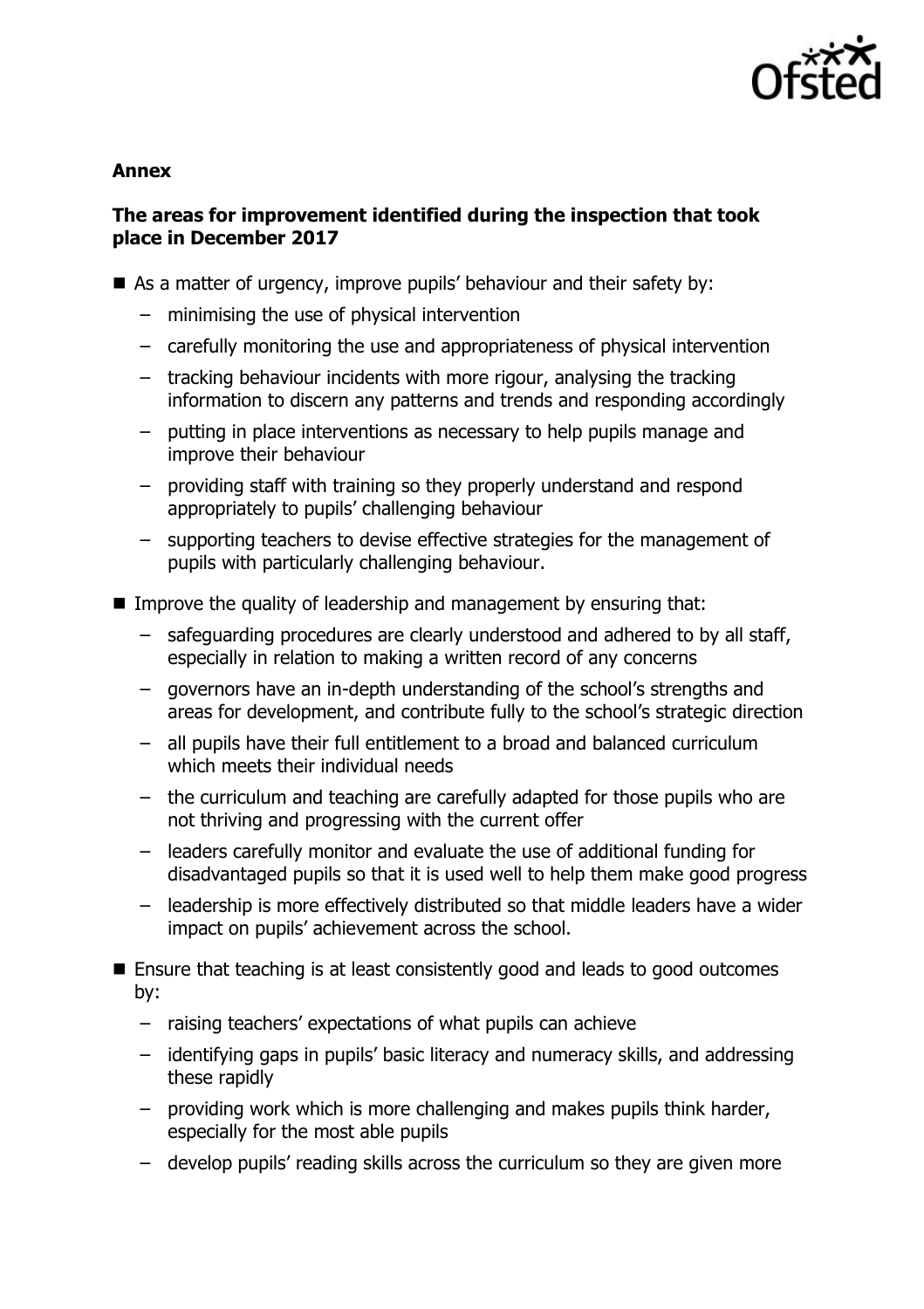

### **Annex**

# **The areas for improvement identified during the inspection that took place in December 2017**

- As a matter of urgency, improve pupils' behaviour and their safety by:
	- minimising the use of physical intervention
	- carefully monitoring the use and appropriateness of physical intervention
	- tracking behaviour incidents with more rigour, analysing the tracking information to discern any patterns and trends and responding accordingly
	- putting in place interventions as necessary to help pupils manage and improve their behaviour
	- providing staff with training so they properly understand and respond appropriately to pupils' challenging behaviour
	- supporting teachers to devise effective strategies for the management of pupils with particularly challenging behaviour.
- **IMPROVE THE QUALITY OF leadership and management by ensuring that:** 
	- safeguarding procedures are clearly understood and adhered to by all staff, especially in relation to making a written record of any concerns
	- governors have an in-depth understanding of the school's strengths and areas for development, and contribute fully to the school's strategic direction
	- all pupils have their full entitlement to a broad and balanced curriculum which meets their individual needs
	- the curriculum and teaching are carefully adapted for those pupils who are not thriving and progressing with the current offer
	- leaders carefully monitor and evaluate the use of additional funding for disadvantaged pupils so that it is used well to help them make good progress
	- leadership is more effectively distributed so that middle leaders have a wider impact on pupils' achievement across the school.
- Ensure that teaching is at least consistently good and leads to good outcomes by:
	- raising teachers' expectations of what pupils can achieve
	- identifying gaps in pupils' basic literacy and numeracy skills, and addressing these rapidly
	- providing work which is more challenging and makes pupils think harder, especially for the most able pupils
	- develop pupils' reading skills across the curriculum so they are given more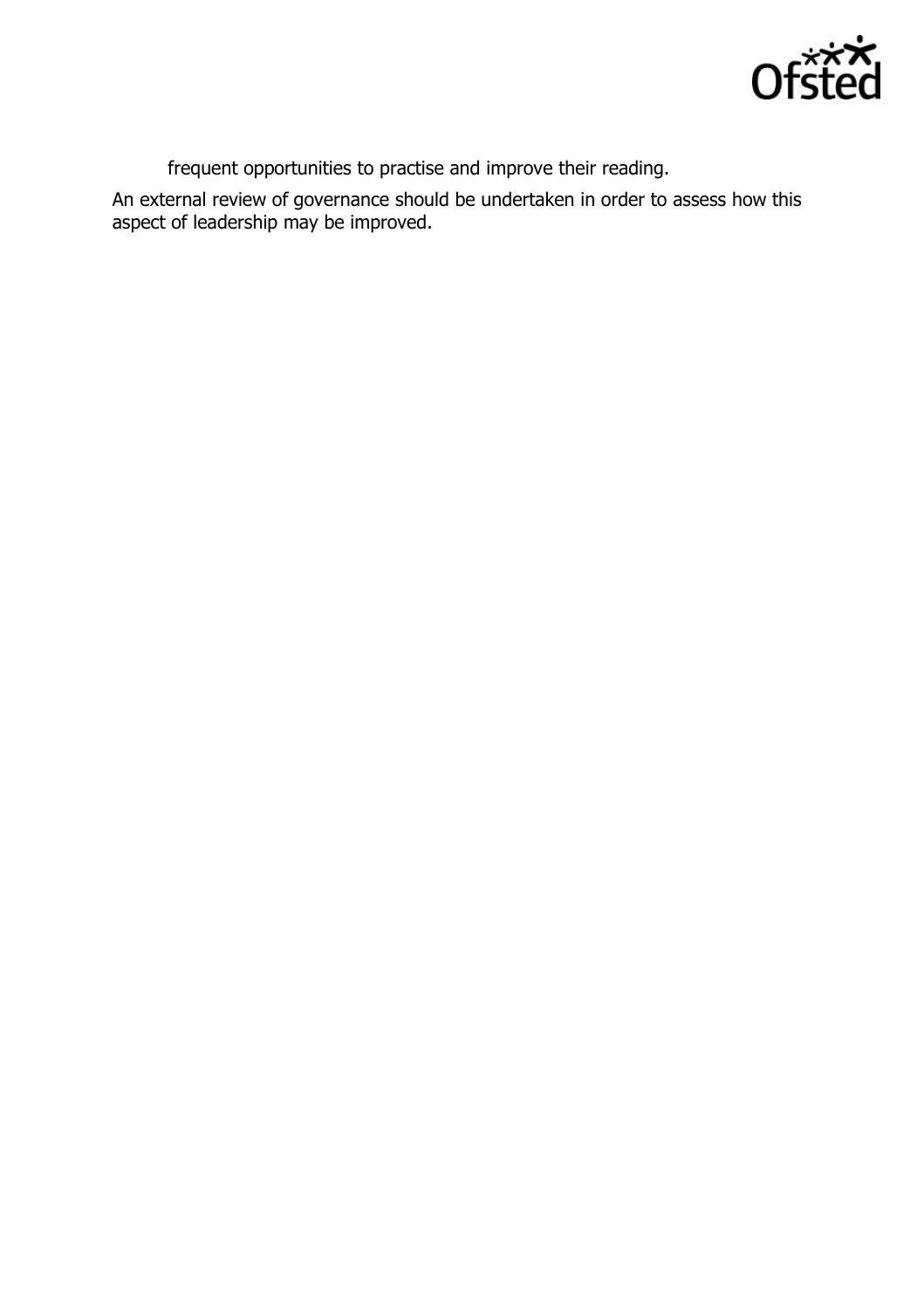

frequent opportunities to practise and improve their reading.

An external review of governance should be undertaken in order to assess how this aspect of leadership may be improved.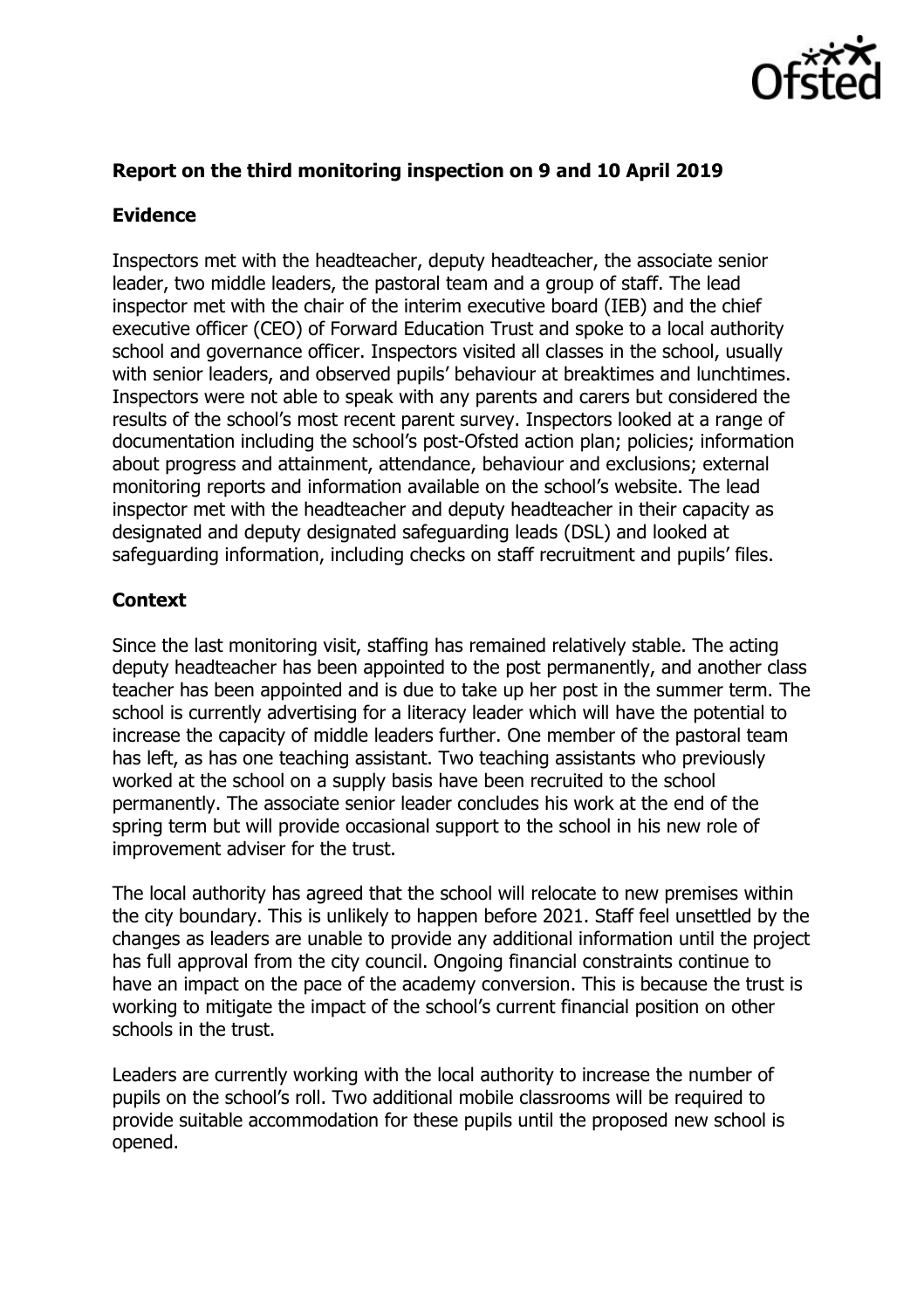

# **Report on the third monitoring inspection on 9 and 10 April 2019**

### **Evidence**

Inspectors met with the headteacher, deputy headteacher, the associate senior leader, two middle leaders, the pastoral team and a group of staff. The lead inspector met with the chair of the interim executive board (IEB) and the chief executive officer (CEO) of Forward Education Trust and spoke to a local authority school and governance officer. Inspectors visited all classes in the school, usually with senior leaders, and observed pupils' behaviour at breaktimes and lunchtimes. Inspectors were not able to speak with any parents and carers but considered the results of the school's most recent parent survey. Inspectors looked at a range of documentation including the school's post-Ofsted action plan; policies; information about progress and attainment, attendance, behaviour and exclusions; external monitoring reports and information available on the school's website. The lead inspector met with the headteacher and deputy headteacher in their capacity as designated and deputy designated safeguarding leads (DSL) and looked at safeguarding information, including checks on staff recruitment and pupils' files.

# **Context**

Since the last monitoring visit, staffing has remained relatively stable. The acting deputy headteacher has been appointed to the post permanently, and another class teacher has been appointed and is due to take up her post in the summer term. The school is currently advertising for a literacy leader which will have the potential to increase the capacity of middle leaders further. One member of the pastoral team has left, as has one teaching assistant. Two teaching assistants who previously worked at the school on a supply basis have been recruited to the school permanently. The associate senior leader concludes his work at the end of the spring term but will provide occasional support to the school in his new role of improvement adviser for the trust.

The local authority has agreed that the school will relocate to new premises within the city boundary. This is unlikely to happen before 2021. Staff feel unsettled by the changes as leaders are unable to provide any additional information until the project has full approval from the city council. Ongoing financial constraints continue to have an impact on the pace of the academy conversion. This is because the trust is working to mitigate the impact of the school's current financial position on other schools in the trust.

Leaders are currently working with the local authority to increase the number of pupils on the school's roll. Two additional mobile classrooms will be required to provide suitable accommodation for these pupils until the proposed new school is opened.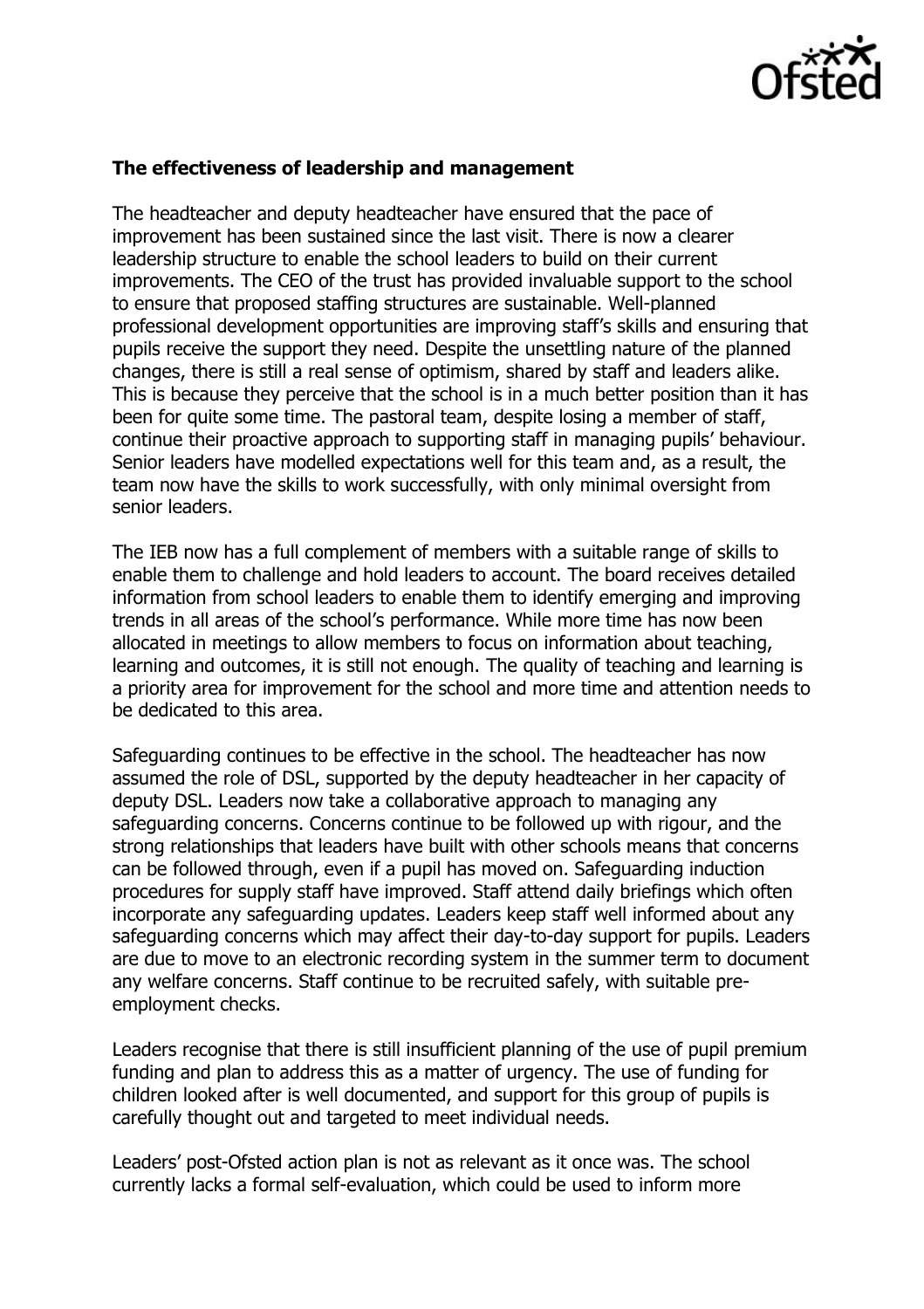

#### **The effectiveness of leadership and management**

The headteacher and deputy headteacher have ensured that the pace of improvement has been sustained since the last visit. There is now a clearer leadership structure to enable the school leaders to build on their current improvements. The CEO of the trust has provided invaluable support to the school to ensure that proposed staffing structures are sustainable. Well-planned professional development opportunities are improving staff's skills and ensuring that pupils receive the support they need. Despite the unsettling nature of the planned changes, there is still a real sense of optimism, shared by staff and leaders alike. This is because they perceive that the school is in a much better position than it has been for quite some time. The pastoral team, despite losing a member of staff, continue their proactive approach to supporting staff in managing pupils' behaviour. Senior leaders have modelled expectations well for this team and, as a result, the team now have the skills to work successfully, with only minimal oversight from senior leaders.

The IEB now has a full complement of members with a suitable range of skills to enable them to challenge and hold leaders to account. The board receives detailed information from school leaders to enable them to identify emerging and improving trends in all areas of the school's performance. While more time has now been allocated in meetings to allow members to focus on information about teaching, learning and outcomes, it is still not enough. The quality of teaching and learning is a priority area for improvement for the school and more time and attention needs to be dedicated to this area.

Safeguarding continues to be effective in the school. The headteacher has now assumed the role of DSL, supported by the deputy headteacher in her capacity of deputy DSL. Leaders now take a collaborative approach to managing any safeguarding concerns. Concerns continue to be followed up with rigour, and the strong relationships that leaders have built with other schools means that concerns can be followed through, even if a pupil has moved on. Safeguarding induction procedures for supply staff have improved. Staff attend daily briefings which often incorporate any safeguarding updates. Leaders keep staff well informed about any safeguarding concerns which may affect their day-to-day support for pupils. Leaders are due to move to an electronic recording system in the summer term to document any welfare concerns. Staff continue to be recruited safely, with suitable preemployment checks.

Leaders recognise that there is still insufficient planning of the use of pupil premium funding and plan to address this as a matter of urgency. The use of funding for children looked after is well documented, and support for this group of pupils is carefully thought out and targeted to meet individual needs.

Leaders' post-Ofsted action plan is not as relevant as it once was. The school currently lacks a formal self-evaluation, which could be used to inform more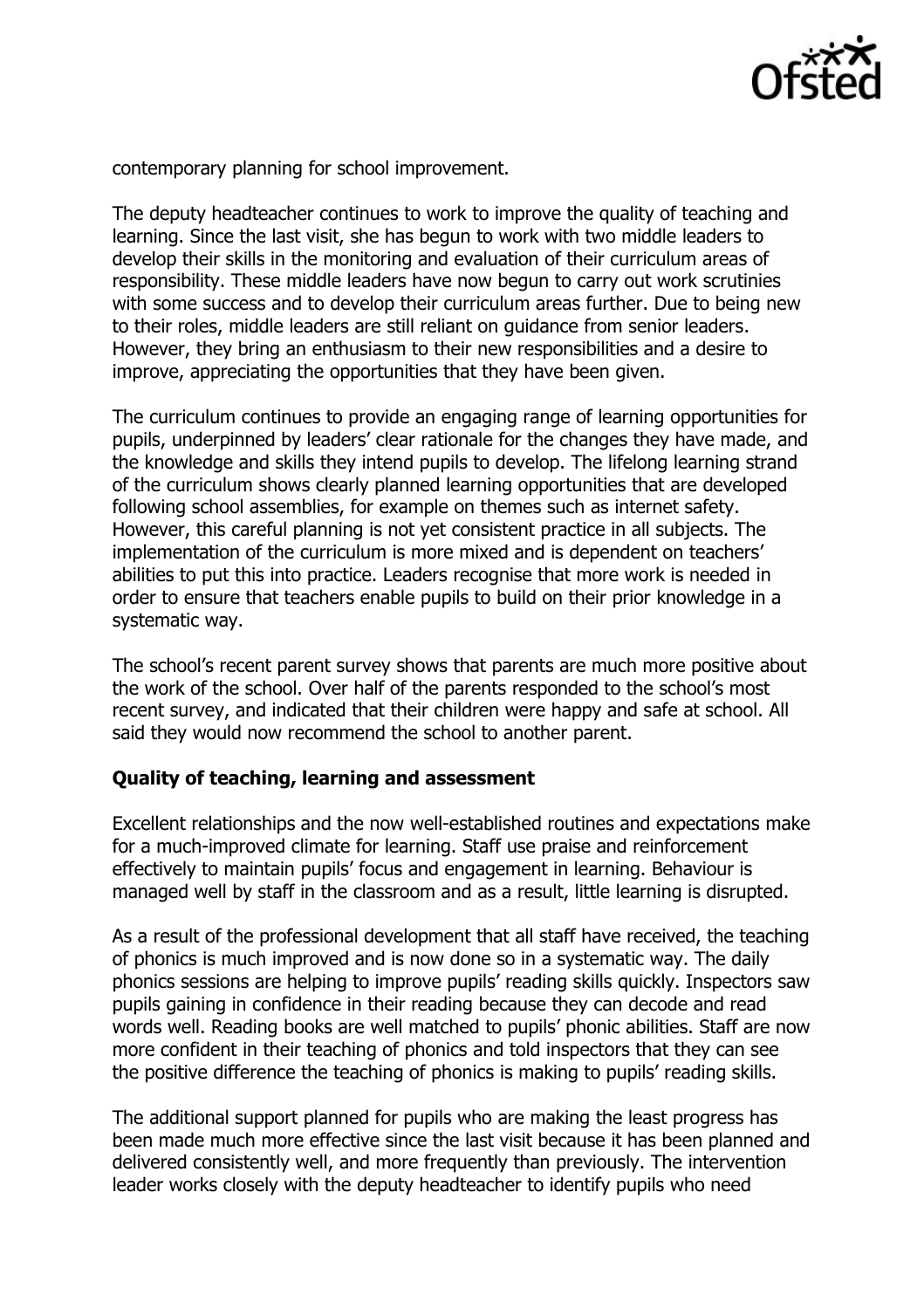

contemporary planning for school improvement.

The deputy headteacher continues to work to improve the quality of teaching and learning. Since the last visit, she has begun to work with two middle leaders to develop their skills in the monitoring and evaluation of their curriculum areas of responsibility. These middle leaders have now begun to carry out work scrutinies with some success and to develop their curriculum areas further. Due to being new to their roles, middle leaders are still reliant on guidance from senior leaders. However, they bring an enthusiasm to their new responsibilities and a desire to improve, appreciating the opportunities that they have been given.

The curriculum continues to provide an engaging range of learning opportunities for pupils, underpinned by leaders' clear rationale for the changes they have made, and the knowledge and skills they intend pupils to develop. The lifelong learning strand of the curriculum shows clearly planned learning opportunities that are developed following school assemblies, for example on themes such as internet safety. However, this careful planning is not yet consistent practice in all subjects. The implementation of the curriculum is more mixed and is dependent on teachers' abilities to put this into practice. Leaders recognise that more work is needed in order to ensure that teachers enable pupils to build on their prior knowledge in a systematic way.

The school's recent parent survey shows that parents are much more positive about the work of the school. Over half of the parents responded to the school's most recent survey, and indicated that their children were happy and safe at school. All said they would now recommend the school to another parent.

# **Quality of teaching, learning and assessment**

Excellent relationships and the now well-established routines and expectations make for a much-improved climate for learning. Staff use praise and reinforcement effectively to maintain pupils' focus and engagement in learning. Behaviour is managed well by staff in the classroom and as a result, little learning is disrupted.

As a result of the professional development that all staff have received, the teaching of phonics is much improved and is now done so in a systematic way. The daily phonics sessions are helping to improve pupils' reading skills quickly. Inspectors saw pupils gaining in confidence in their reading because they can decode and read words well. Reading books are well matched to pupils' phonic abilities. Staff are now more confident in their teaching of phonics and told inspectors that they can see the positive difference the teaching of phonics is making to pupils' reading skills.

The additional support planned for pupils who are making the least progress has been made much more effective since the last visit because it has been planned and delivered consistently well, and more frequently than previously. The intervention leader works closely with the deputy headteacher to identify pupils who need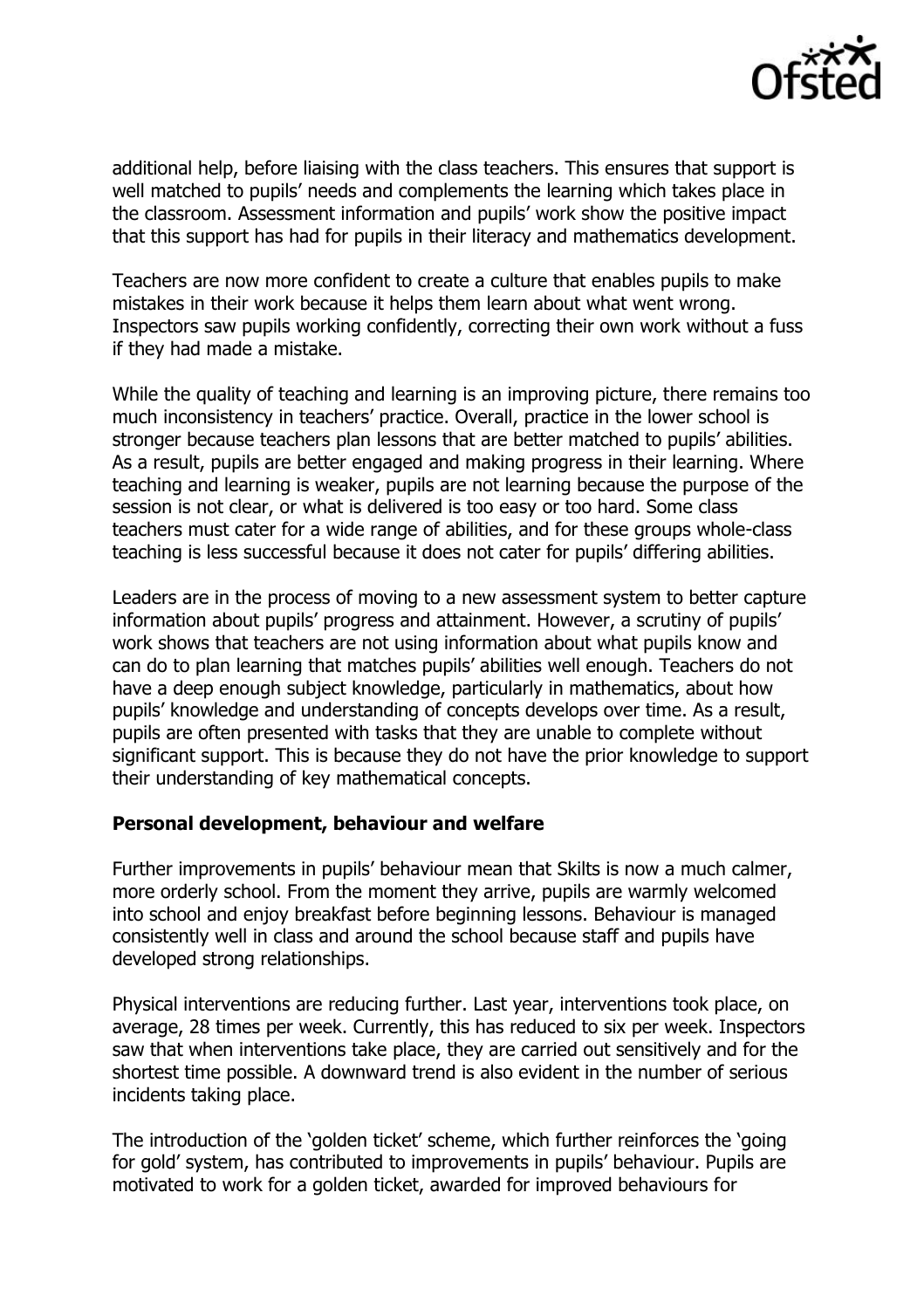

additional help, before liaising with the class teachers. This ensures that support is well matched to pupils' needs and complements the learning which takes place in the classroom. Assessment information and pupils' work show the positive impact that this support has had for pupils in their literacy and mathematics development.

Teachers are now more confident to create a culture that enables pupils to make mistakes in their work because it helps them learn about what went wrong. Inspectors saw pupils working confidently, correcting their own work without a fuss if they had made a mistake.

While the quality of teaching and learning is an improving picture, there remains too much inconsistency in teachers' practice. Overall, practice in the lower school is stronger because teachers plan lessons that are better matched to pupils' abilities. As a result, pupils are better engaged and making progress in their learning. Where teaching and learning is weaker, pupils are not learning because the purpose of the session is not clear, or what is delivered is too easy or too hard. Some class teachers must cater for a wide range of abilities, and for these groups whole-class teaching is less successful because it does not cater for pupils' differing abilities.

Leaders are in the process of moving to a new assessment system to better capture information about pupils' progress and attainment. However, a scrutiny of pupils' work shows that teachers are not using information about what pupils know and can do to plan learning that matches pupils' abilities well enough. Teachers do not have a deep enough subject knowledge, particularly in mathematics, about how pupils' knowledge and understanding of concepts develops over time. As a result, pupils are often presented with tasks that they are unable to complete without significant support. This is because they do not have the prior knowledge to support their understanding of key mathematical concepts.

#### **Personal development, behaviour and welfare**

Further improvements in pupils' behaviour mean that Skilts is now a much calmer, more orderly school. From the moment they arrive, pupils are warmly welcomed into school and enjoy breakfast before beginning lessons. Behaviour is managed consistently well in class and around the school because staff and pupils have developed strong relationships.

Physical interventions are reducing further. Last year, interventions took place, on average, 28 times per week. Currently, this has reduced to six per week. Inspectors saw that when interventions take place, they are carried out sensitively and for the shortest time possible. A downward trend is also evident in the number of serious incidents taking place.

The introduction of the 'golden ticket' scheme, which further reinforces the 'going for gold' system, has contributed to improvements in pupils' behaviour. Pupils are motivated to work for a golden ticket, awarded for improved behaviours for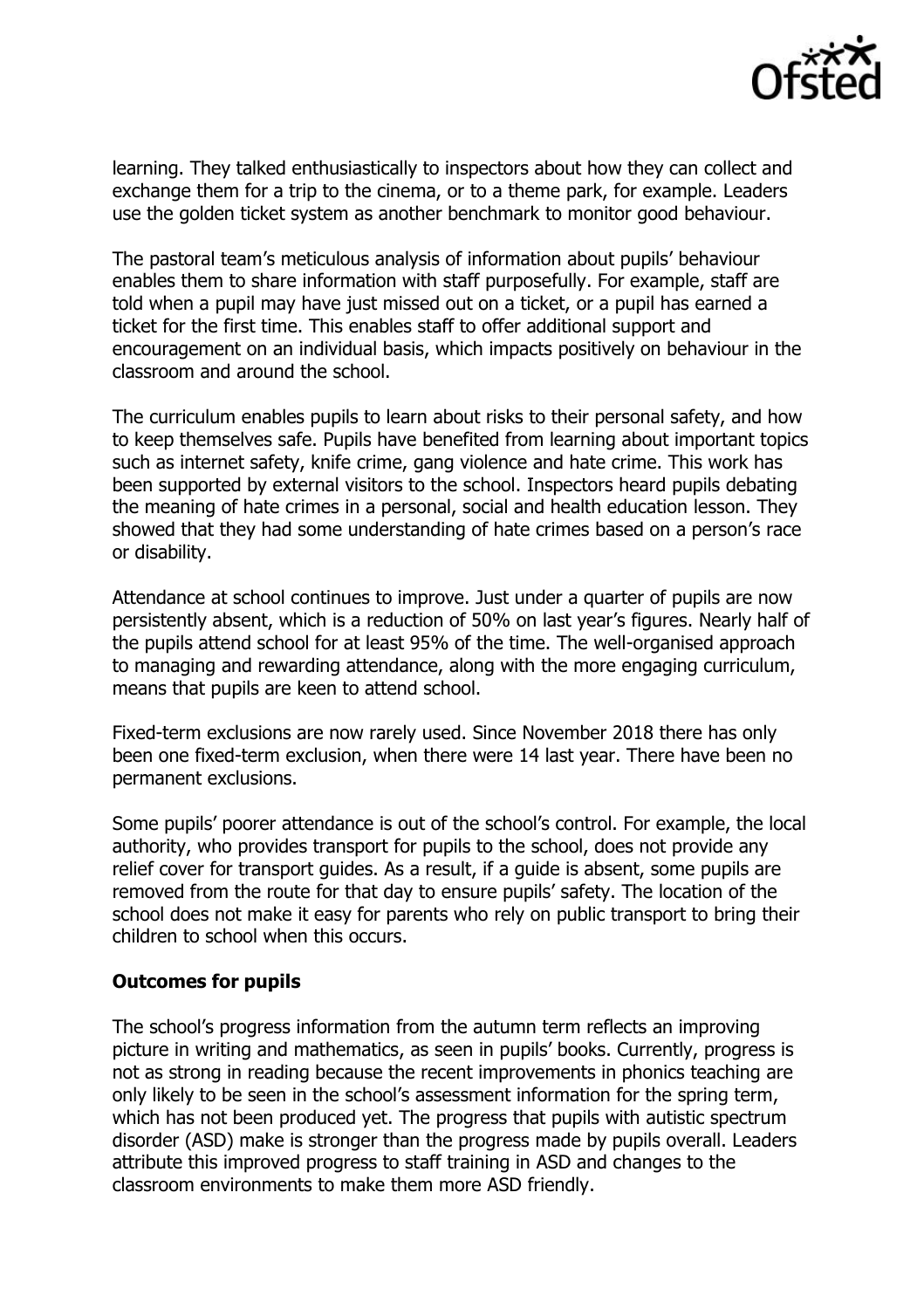

learning. They talked enthusiastically to inspectors about how they can collect and exchange them for a trip to the cinema, or to a theme park, for example. Leaders use the golden ticket system as another benchmark to monitor good behaviour.

The pastoral team's meticulous analysis of information about pupils' behaviour enables them to share information with staff purposefully. For example, staff are told when a pupil may have just missed out on a ticket, or a pupil has earned a ticket for the first time. This enables staff to offer additional support and encouragement on an individual basis, which impacts positively on behaviour in the classroom and around the school.

The curriculum enables pupils to learn about risks to their personal safety, and how to keep themselves safe. Pupils have benefited from learning about important topics such as internet safety, knife crime, gang violence and hate crime. This work has been supported by external visitors to the school. Inspectors heard pupils debating the meaning of hate crimes in a personal, social and health education lesson. They showed that they had some understanding of hate crimes based on a person's race or disability.

Attendance at school continues to improve. Just under a quarter of pupils are now persistently absent, which is a reduction of 50% on last year's figures. Nearly half of the pupils attend school for at least 95% of the time. The well-organised approach to managing and rewarding attendance, along with the more engaging curriculum, means that pupils are keen to attend school.

Fixed-term exclusions are now rarely used. Since November 2018 there has only been one fixed-term exclusion, when there were 14 last year. There have been no permanent exclusions.

Some pupils' poorer attendance is out of the school's control. For example, the local authority, who provides transport for pupils to the school, does not provide any relief cover for transport guides. As a result, if a guide is absent, some pupils are removed from the route for that day to ensure pupils' safety. The location of the school does not make it easy for parents who rely on public transport to bring their children to school when this occurs.

# **Outcomes for pupils**

The school's progress information from the autumn term reflects an improving picture in writing and mathematics, as seen in pupils' books. Currently, progress is not as strong in reading because the recent improvements in phonics teaching are only likely to be seen in the school's assessment information for the spring term, which has not been produced yet. The progress that pupils with autistic spectrum disorder (ASD) make is stronger than the progress made by pupils overall. Leaders attribute this improved progress to staff training in ASD and changes to the classroom environments to make them more ASD friendly.